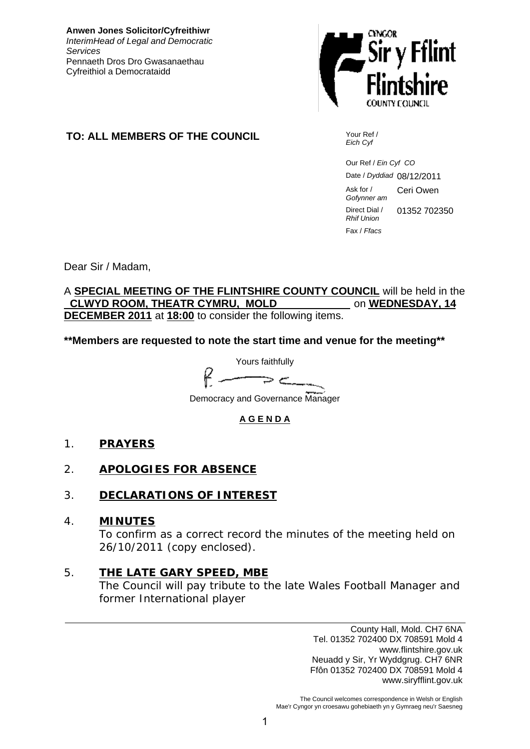**Anwen Jones Solicitor/Cyfreithiwr** *InterimHead of Legal and Democratic Services* Pennaeth Dros Dro Gwasanaethau Cyfreithiol a Democrataidd



# **TO: ALL MEMBERS OF THE COUNCIL** Your Ref /

*Eich Cyf*

 Our Ref / *Ein Cyf CO* Date / *Dyddiad* 08/12/2011 Ask for / *Gofynner am* Ceri Owen Direct Dial / *Rhif Union* 01352 702350 Fax / *Ffacs*

Dear Sir / Madam,

A **SPECIAL MEETING OF THE FLINTSHIRE COUNTY COUNCIL** will be held in the  **CLWYD ROOM, THEATR CYMRU, MOLD** on **WEDNESDAY, 14 DECEMBER 2011** at **18:00** to consider the following items.

**\*\*Members are requested to note the start time and venue for the meeting\*\***

Yours faithfully سم د Democracy and Governance Manager

# **A G E N D A**

- 1. **PRAYERS**
- 2. **APOLOGIES FOR ABSENCE**
- 3. **DECLARATIONS OF INTEREST**
- 4. **MINUTES** To confirm as a correct record the minutes of the meeting held on 26/10/2011 (copy enclosed).
- 5. **THE LATE GARY SPEED, MBE** The Council will pay tribute to the late Wales Football Manager and former International player

County Hall, Mold. CH7 6NA Tel. 01352 702400 DX 708591 Mold 4 www.flintshire.gov.uk Neuadd y Sir, Yr Wyddgrug. CH7 6NR Ffôn 01352 702400 DX 708591 Mold 4 www.siryfflint.gov.uk

The Council welcomes correspondence in Welsh or English Mae'r Cyngor yn croesawu gohebiaeth yn y Gymraeg neu'r Saesneg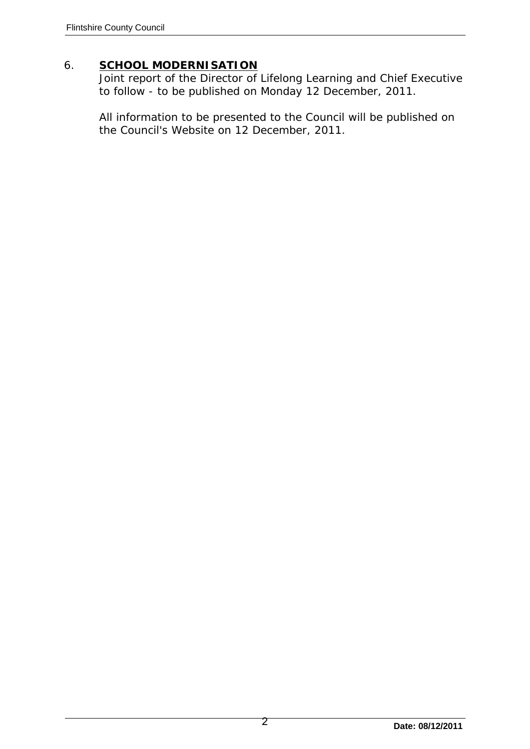# 6. **SCHOOL MODERNISATION**

Joint report of the Director of Lifelong Learning and Chief Executive to follow - to be published on Monday 12 December, 2011.

All information to be presented to the Council will be published on the Council's Website on 12 December, 2011.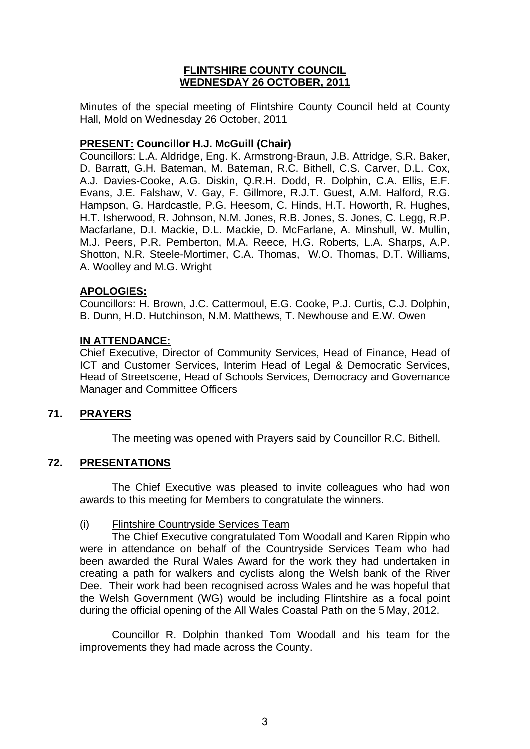# **FLINTSHIRE COUNTY COUNCIL WEDNESDAY 26 OCTOBER, 2011**

Minutes of the special meeting of Flintshire County Council held at County Hall, Mold on Wednesday 26 October, 2011

# **PRESENT: Councillor H.J. McGuill (Chair)**

Councillors: L.A. Aldridge, Eng. K. Armstrong-Braun, J.B. Attridge, S.R. Baker, D. Barratt, G.H. Bateman, M. Bateman, R.C. Bithell, C.S. Carver, D.L. Cox, A.J. Davies-Cooke, A.G. Diskin, Q.R.H. Dodd, R. Dolphin, C.A. Ellis, E.F. Evans, J.E. Falshaw, V. Gay, F. Gillmore, R.J.T. Guest, A.M. Halford, R.G. Hampson, G. Hardcastle, P.G. Heesom, C. Hinds, H.T. Howorth, R. Hughes, H.T. Isherwood, R. Johnson, N.M. Jones, R.B. Jones, S. Jones, C. Legg, R.P. Macfarlane, D.I. Mackie, D.L. Mackie, D. McFarlane, A. Minshull, W. Mullin, M.J. Peers, P.R. Pemberton, M.A. Reece, H.G. Roberts, L.A. Sharps, A.P. Shotton, N.R. Steele-Mortimer, C.A. Thomas, W.O. Thomas, D.T. Williams, A. Woolley and M.G. Wright

# **APOLOGIES:**

Councillors: H. Brown, J.C. Cattermoul, E.G. Cooke, P.J. Curtis, C.J. Dolphin, B. Dunn, H.D. Hutchinson, N.M. Matthews, T. Newhouse and E.W. Owen

# **IN ATTENDANCE:**

Chief Executive, Director of Community Services, Head of Finance, Head of ICT and Customer Services, Interim Head of Legal & Democratic Services, Head of Streetscene, Head of Schools Services, Democracy and Governance Manager and Committee Officers

# **71. PRAYERS**

The meeting was opened with Prayers said by Councillor R.C. Bithell.

# **72. PRESENTATIONS**

The Chief Executive was pleased to invite colleagues who had won awards to this meeting for Members to congratulate the winners.

# (i) Flintshire Countryside Services Team

The Chief Executive congratulated Tom Woodall and Karen Rippin who were in attendance on behalf of the Countryside Services Team who had been awarded the Rural Wales Award for the work they had undertaken in creating a path for walkers and cyclists along the Welsh bank of the River Dee. Their work had been recognised across Wales and he was hopeful that the Welsh Government (WG) would be including Flintshire as a focal point during the official opening of the All Wales Coastal Path on the 5 May, 2012.

Councillor R. Dolphin thanked Tom Woodall and his team for the improvements they had made across the County.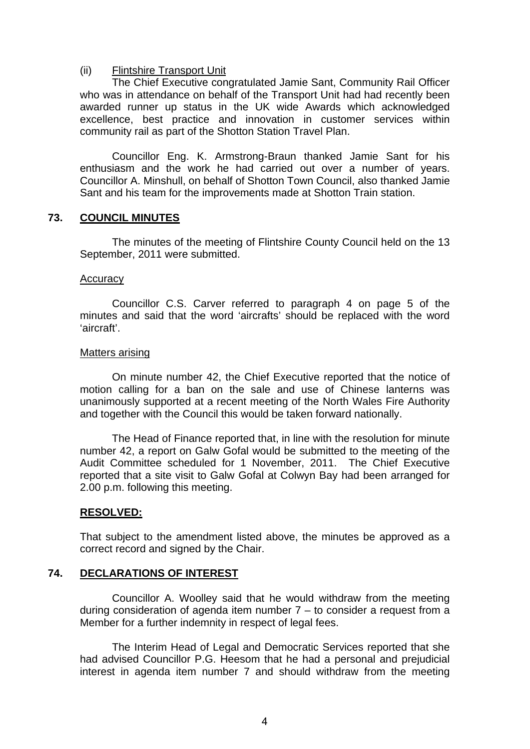### (ii) Flintshire Transport Unit

 The Chief Executive congratulated Jamie Sant, Community Rail Officer who was in attendance on behalf of the Transport Unit had had recently been awarded runner up status in the UK wide Awards which acknowledged excellence, best practice and innovation in customer services within community rail as part of the Shotton Station Travel Plan.

 Councillor Eng. K. Armstrong-Braun thanked Jamie Sant for his enthusiasm and the work he had carried out over a number of years. Councillor A. Minshull, on behalf of Shotton Town Council, also thanked Jamie Sant and his team for the improvements made at Shotton Train station.

### **73. COUNCIL MINUTES**

 The minutes of the meeting of Flintshire County Council held on the 13 September, 2011 were submitted.

#### **Accuracy**

Councillor C.S. Carver referred to paragraph 4 on page 5 of the minutes and said that the word 'aircrafts' should be replaced with the word 'aircraft'.

#### Matters arising

 On minute number 42, the Chief Executive reported that the notice of motion calling for a ban on the sale and use of Chinese lanterns was unanimously supported at a recent meeting of the North Wales Fire Authority and together with the Council this would be taken forward nationally.

 The Head of Finance reported that, in line with the resolution for minute number 42, a report on Galw Gofal would be submitted to the meeting of the Audit Committee scheduled for 1 November, 2011. The Chief Executive reported that a site visit to Galw Gofal at Colwyn Bay had been arranged for 2.00 p.m. following this meeting.

# **RESOLVED:**

That subject to the amendment listed above, the minutes be approved as a correct record and signed by the Chair.

# **74. DECLARATIONS OF INTEREST**

 Councillor A. Woolley said that he would withdraw from the meeting during consideration of agenda item number  $7 -$  to consider a request from a Member for a further indemnity in respect of legal fees.

 The Interim Head of Legal and Democratic Services reported that she had advised Councillor P.G. Heesom that he had a personal and prejudicial interest in agenda item number 7 and should withdraw from the meeting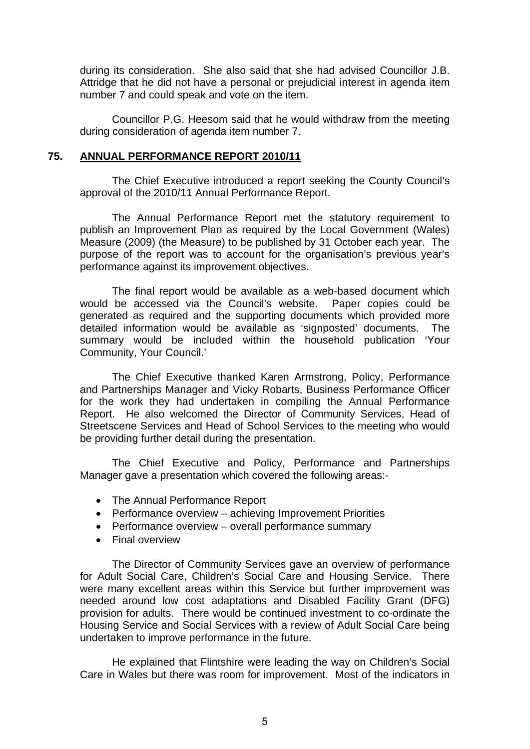during its consideration. She also said that she had advised Councillor J.B. Attridge that he did not have a personal or prejudicial interest in agenda item number 7 and could speak and vote on the item.

 Councillor P.G. Heesom said that he would withdraw from the meeting during consideration of agenda item number 7.

#### **75. ANNUAL PERFORMANCE REPORT 2010/11**

 The Chief Executive introduced a report seeking the County Council's approval of the 2010/11 Annual Performance Report.

 The Annual Performance Report met the statutory requirement to publish an Improvement Plan as required by the Local Government (Wales) Measure (2009) (the Measure) to be published by 31 October each year. The purpose of the report was to account for the organisation's previous year's performance against its improvement objectives.

 The final report would be available as a web-based document which would be accessed via the Council's website. Paper copies could be generated as required and the supporting documents which provided more detailed information would be available as 'signposted' documents. The summary would be included within the household publication 'Your Community, Your Council.'

 The Chief Executive thanked Karen Armstrong, Policy, Performance and Partnerships Manager and Vicky Robarts, Business Performance Officer for the work they had undertaken in compiling the Annual Performance Report. He also welcomed the Director of Community Services, Head of Streetscene Services and Head of School Services to the meeting who would be providing further detail during the presentation.

 The Chief Executive and Policy, Performance and Partnerships Manager gave a presentation which covered the following areas:-

- The Annual Performance Report
- Performance overview achieving Improvement Priorities
- Performance overview overall performance summary
- Final overview

The Director of Community Services gave an overview of performance for Adult Social Care, Children's Social Care and Housing Service. There were many excellent areas within this Service but further improvement was needed around low cost adaptations and Disabled Facility Grant (DFG) provision for adults. There would be continued investment to co-ordinate the Housing Service and Social Services with a review of Adult Social Care being undertaken to improve performance in the future.

 He explained that Flintshire were leading the way on Children's Social Care in Wales but there was room for improvement. Most of the indicators in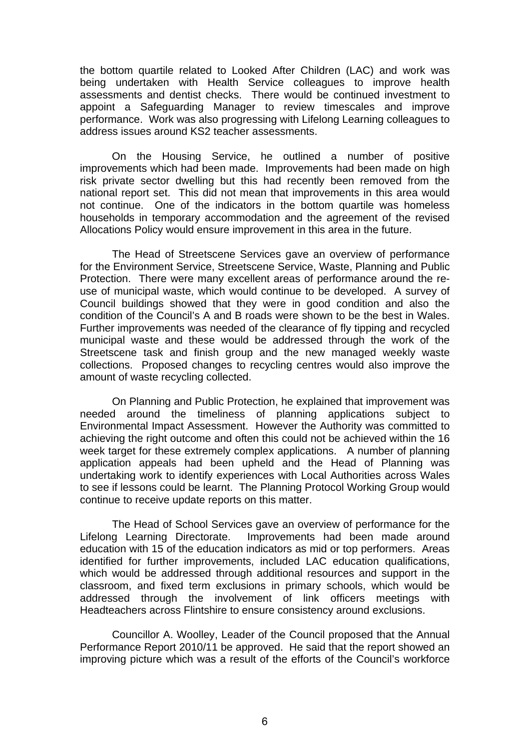the bottom quartile related to Looked After Children (LAC) and work was being undertaken with Health Service colleagues to improve health assessments and dentist checks. There would be continued investment to appoint a Safeguarding Manager to review timescales and improve performance. Work was also progressing with Lifelong Learning colleagues to address issues around KS2 teacher assessments.

 On the Housing Service, he outlined a number of positive improvements which had been made. Improvements had been made on high risk private sector dwelling but this had recently been removed from the national report set. This did not mean that improvements in this area would not continue. One of the indicators in the bottom quartile was homeless households in temporary accommodation and the agreement of the revised Allocations Policy would ensure improvement in this area in the future.

 The Head of Streetscene Services gave an overview of performance for the Environment Service, Streetscene Service, Waste, Planning and Public Protection. There were many excellent areas of performance around the reuse of municipal waste, which would continue to be developed. A survey of Council buildings showed that they were in good condition and also the condition of the Council's A and B roads were shown to be the best in Wales. Further improvements was needed of the clearance of fly tipping and recycled municipal waste and these would be addressed through the work of the Streetscene task and finish group and the new managed weekly waste collections. Proposed changes to recycling centres would also improve the amount of waste recycling collected.

 On Planning and Public Protection, he explained that improvement was needed around the timeliness of planning applications subject to Environmental Impact Assessment. However the Authority was committed to achieving the right outcome and often this could not be achieved within the 16 week target for these extremely complex applications. A number of planning application appeals had been upheld and the Head of Planning was undertaking work to identify experiences with Local Authorities across Wales to see if lessons could be learnt. The Planning Protocol Working Group would continue to receive update reports on this matter.

 The Head of School Services gave an overview of performance for the Lifelong Learning Directorate. Improvements had been made around education with 15 of the education indicators as mid or top performers. Areas identified for further improvements, included LAC education qualifications, which would be addressed through additional resources and support in the classroom, and fixed term exclusions in primary schools, which would be addressed through the involvement of link officers meetings with Headteachers across Flintshire to ensure consistency around exclusions.

Councillor A. Woolley, Leader of the Council proposed that the Annual Performance Report 2010/11 be approved. He said that the report showed an improving picture which was a result of the efforts of the Council's workforce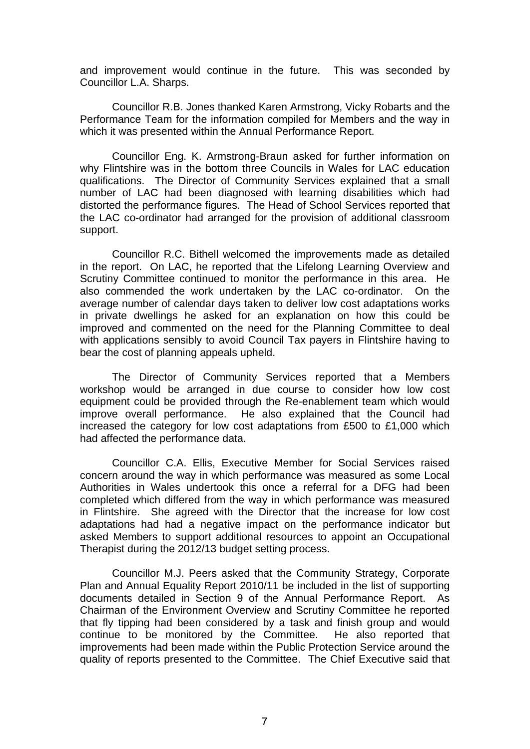and improvement would continue in the future. This was seconded by Councillor L.A. Sharps.

 Councillor R.B. Jones thanked Karen Armstrong, Vicky Robarts and the Performance Team for the information compiled for Members and the way in which it was presented within the Annual Performance Report.

 Councillor Eng. K. Armstrong-Braun asked for further information on why Flintshire was in the bottom three Councils in Wales for LAC education qualifications. The Director of Community Services explained that a small number of LAC had been diagnosed with learning disabilities which had distorted the performance figures. The Head of School Services reported that the LAC co-ordinator had arranged for the provision of additional classroom support.

 Councillor R.C. Bithell welcomed the improvements made as detailed in the report. On LAC, he reported that the Lifelong Learning Overview and Scrutiny Committee continued to monitor the performance in this area. He also commended the work undertaken by the LAC co-ordinator. On the average number of calendar days taken to deliver low cost adaptations works in private dwellings he asked for an explanation on how this could be improved and commented on the need for the Planning Committee to deal with applications sensibly to avoid Council Tax payers in Flintshire having to bear the cost of planning appeals upheld.

 The Director of Community Services reported that a Members workshop would be arranged in due course to consider how low cost equipment could be provided through the Re-enablement team which would improve overall performance. He also explained that the Council had increased the category for low cost adaptations from £500 to £1,000 which had affected the performance data.

 Councillor C.A. Ellis, Executive Member for Social Services raised concern around the way in which performance was measured as some Local Authorities in Wales undertook this once a referral for a DFG had been completed which differed from the way in which performance was measured in Flintshire. She agreed with the Director that the increase for low cost adaptations had had a negative impact on the performance indicator but asked Members to support additional resources to appoint an Occupational Therapist during the 2012/13 budget setting process.

 Councillor M.J. Peers asked that the Community Strategy, Corporate Plan and Annual Equality Report 2010/11 be included in the list of supporting documents detailed in Section 9 of the Annual Performance Report. As Chairman of the Environment Overview and Scrutiny Committee he reported that fly tipping had been considered by a task and finish group and would continue to be monitored by the Committee. He also reported that improvements had been made within the Public Protection Service around the quality of reports presented to the Committee. The Chief Executive said that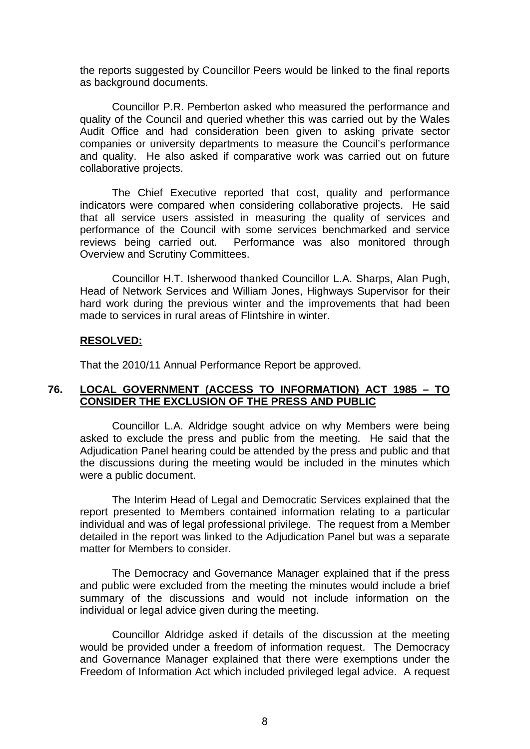the reports suggested by Councillor Peers would be linked to the final reports as background documents.

 Councillor P.R. Pemberton asked who measured the performance and quality of the Council and queried whether this was carried out by the Wales Audit Office and had consideration been given to asking private sector companies or university departments to measure the Council's performance and quality. He also asked if comparative work was carried out on future collaborative projects.

 The Chief Executive reported that cost, quality and performance indicators were compared when considering collaborative projects. He said that all service users assisted in measuring the quality of services and performance of the Council with some services benchmarked and service reviews being carried out. Performance was also monitored through Overview and Scrutiny Committees.

 Councillor H.T. Isherwood thanked Councillor L.A. Sharps, Alan Pugh, Head of Network Services and William Jones, Highways Supervisor for their hard work during the previous winter and the improvements that had been made to services in rural areas of Flintshire in winter.

#### **RESOLVED:**

That the 2010/11 Annual Performance Report be approved.

### **76. LOCAL GOVERNMENT (ACCESS TO INFORMATION) ACT 1985 – TO CONSIDER THE EXCLUSION OF THE PRESS AND PUBLIC**

 Councillor L.A. Aldridge sought advice on why Members were being asked to exclude the press and public from the meeting. He said that the Adjudication Panel hearing could be attended by the press and public and that the discussions during the meeting would be included in the minutes which were a public document.

 The Interim Head of Legal and Democratic Services explained that the report presented to Members contained information relating to a particular individual and was of legal professional privilege. The request from a Member detailed in the report was linked to the Adjudication Panel but was a separate matter for Members to consider.

 The Democracy and Governance Manager explained that if the press and public were excluded from the meeting the minutes would include a brief summary of the discussions and would not include information on the individual or legal advice given during the meeting.

 Councillor Aldridge asked if details of the discussion at the meeting would be provided under a freedom of information request. The Democracy and Governance Manager explained that there were exemptions under the Freedom of Information Act which included privileged legal advice. A request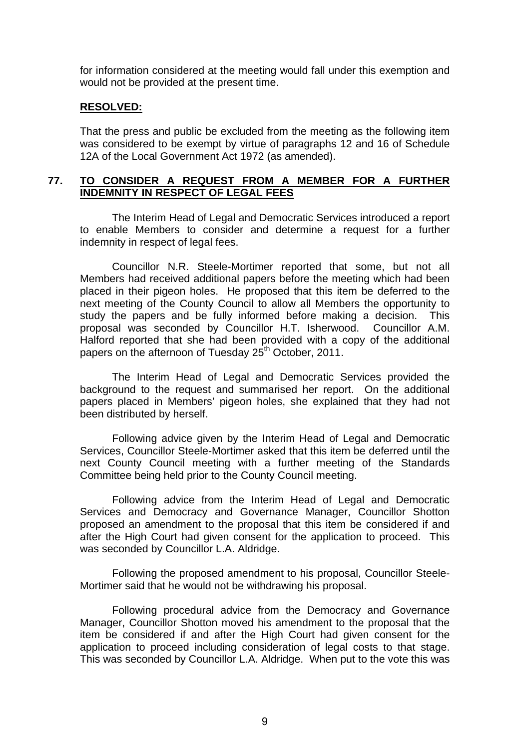for information considered at the meeting would fall under this exemption and would not be provided at the present time.

#### **RESOLVED:**

That the press and public be excluded from the meeting as the following item was considered to be exempt by virtue of paragraphs 12 and 16 of Schedule 12A of the Local Government Act 1972 (as amended).

### **77. TO CONSIDER A REQUEST FROM A MEMBER FOR A FURTHER INDEMNITY IN RESPECT OF LEGAL FEES**

 The Interim Head of Legal and Democratic Services introduced a report to enable Members to consider and determine a request for a further indemnity in respect of legal fees.

Councillor N.R. Steele-Mortimer reported that some, but not all Members had received additional papers before the meeting which had been placed in their pigeon holes. He proposed that this item be deferred to the next meeting of the County Council to allow all Members the opportunity to study the papers and be fully informed before making a decision. This proposal was seconded by Councillor H.T. Isherwood. Councillor A.M. Halford reported that she had been provided with a copy of the additional papers on the afternoon of Tuesday 25<sup>th</sup> October, 2011.

The Interim Head of Legal and Democratic Services provided the background to the request and summarised her report. On the additional papers placed in Members' pigeon holes, she explained that they had not been distributed by herself.

Following advice given by the Interim Head of Legal and Democratic Services, Councillor Steele-Mortimer asked that this item be deferred until the next County Council meeting with a further meeting of the Standards Committee being held prior to the County Council meeting.

Following advice from the Interim Head of Legal and Democratic Services and Democracy and Governance Manager, Councillor Shotton proposed an amendment to the proposal that this item be considered if and after the High Court had given consent for the application to proceed. This was seconded by Councillor L.A. Aldridge.

Following the proposed amendment to his proposal, Councillor Steele-Mortimer said that he would not be withdrawing his proposal.

 Following procedural advice from the Democracy and Governance Manager, Councillor Shotton moved his amendment to the proposal that the item be considered if and after the High Court had given consent for the application to proceed including consideration of legal costs to that stage. This was seconded by Councillor L.A. Aldridge. When put to the vote this was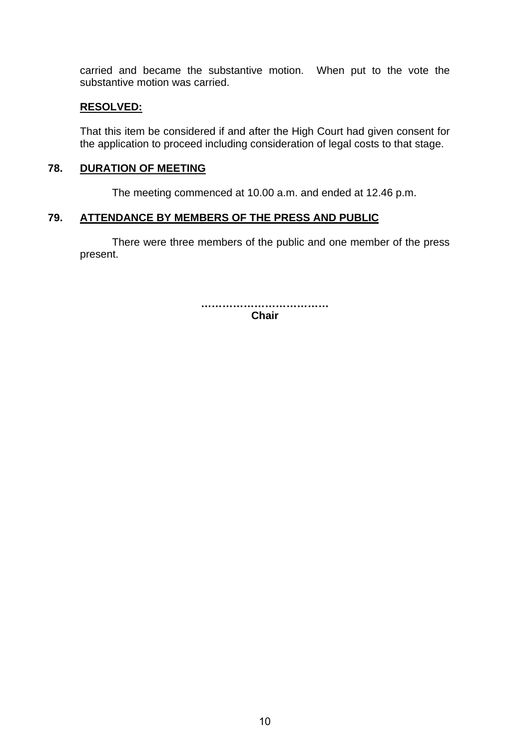carried and became the substantive motion. When put to the vote the substantive motion was carried.

### **RESOLVED:**

That this item be considered if and after the High Court had given consent for the application to proceed including consideration of legal costs to that stage.

### **78. DURATION OF MEETING**

The meeting commenced at 10.00 a.m. and ended at 12.46 p.m.

### **79. ATTENDANCE BY MEMBERS OF THE PRESS AND PUBLIC**

There were three members of the public and one member of the press present.

> **……………………………… Chair**